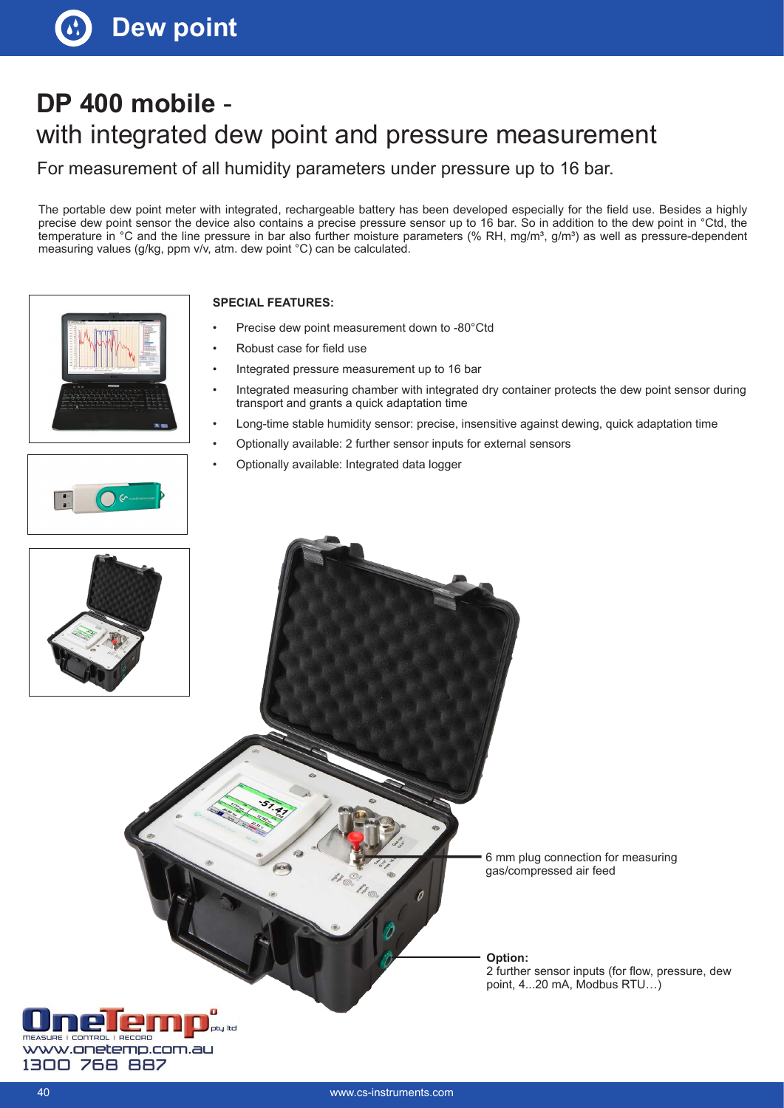# **DP 400 mobile**  with integrated dew point and pressure measurement

For measurement of all humidity parameters under pressure up to 16 bar.

The portable dew point meter with integrated, rechargeable battery has been developed especially for the field use. Besides a highly precise dew point sensor the device also contains a precise pressure sensor up to 16 bar. So in addition to the dew point in °Ctd, the temperature in  $°C$  and the line pressure in bar also further moisture parameters (% RH, mg/m<sup>3</sup>, g/m<sup>3</sup>) as well as pressure-dependent measuring values (g/kg, ppm v/v, atm. dew point °C) can be calculated.





- Precise dew point measurement down to -80°Ctd
- Robust case for field use
- Integrated pressure measurement up to 16 bar
- Integrated measuring chamber with integrated dry container protects the dew point sensor during transport and grants a quick adaptation time
- Long-time stable humidity sensor: precise, insensitive against dewing, quick adaptation time
- Optionally available: 2 further sensor inputs for external sensors
- Optionally available: Integrated data logger